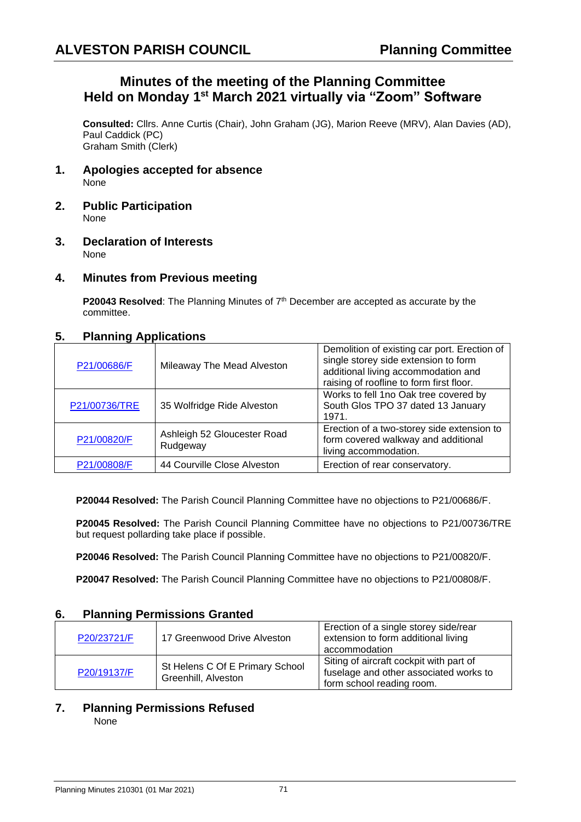## **Minutes of the meeting of the Planning Committee Held on Monday 1 st March 2021 virtually via "Zoom" Software**

**Consulted:** Cllrs. Anne Curtis (Chair), John Graham (JG), Marion Reeve (MRV), Alan Davies (AD), Paul Caddick (PC) Graham Smith (Clerk)

- **1. Apologies accepted for absence** None
- **2. Public Participation** None
- **3. Declaration of Interests** None
- **4. Minutes from Previous meeting**

**P20043 Resolved:** The Planning Minutes of 7<sup>th</sup> December are accepted as accurate by the committee.

#### **5. Planning Applications**

| P21/00686/F   | Mileaway The Mead Alveston              | Demolition of existing car port. Erection of<br>single storey side extension to form<br>additional living accommodation and<br>raising of roofline to form first floor. |
|---------------|-----------------------------------------|-------------------------------------------------------------------------------------------------------------------------------------------------------------------------|
| P21/00736/TRE | 35 Wolfridge Ride Alveston              | Works to fell 1no Oak tree covered by<br>South Glos TPO 37 dated 13 January<br>1971.                                                                                    |
| P21/00820/F   | Ashleigh 52 Gloucester Road<br>Rudgeway | Erection of a two-storey side extension to<br>form covered walkway and additional<br>living accommodation.                                                              |
| P21/00808/F   | 44 Courville Close Alveston             | Erection of rear conservatory.                                                                                                                                          |

**P20044 Resolved:** The Parish Council Planning Committee have no objections to P21/00686/F.

**P20045 Resolved:** The Parish Council Planning Committee have no objections to P21/00736/TRE but request pollarding take place if possible.

**P20046 Resolved:** The Parish Council Planning Committee have no objections to P21/00820/F.

**P20047 Resolved:** The Parish Council Planning Committee have no objections to P21/00808/F.

#### **6. Planning Permissions Granted**

| P20/23721/F | 17 Greenwood Drive Alveston                            | Erection of a single storey side/rear<br>extension to form additional living<br>accommodation                  |
|-------------|--------------------------------------------------------|----------------------------------------------------------------------------------------------------------------|
| P20/19137/F | St Helens C Of E Primary School<br>Greenhill, Alveston | Siting of aircraft cockpit with part of<br>fuselage and other associated works to<br>form school reading room. |

# **7. Planning Permissions Refused**

None